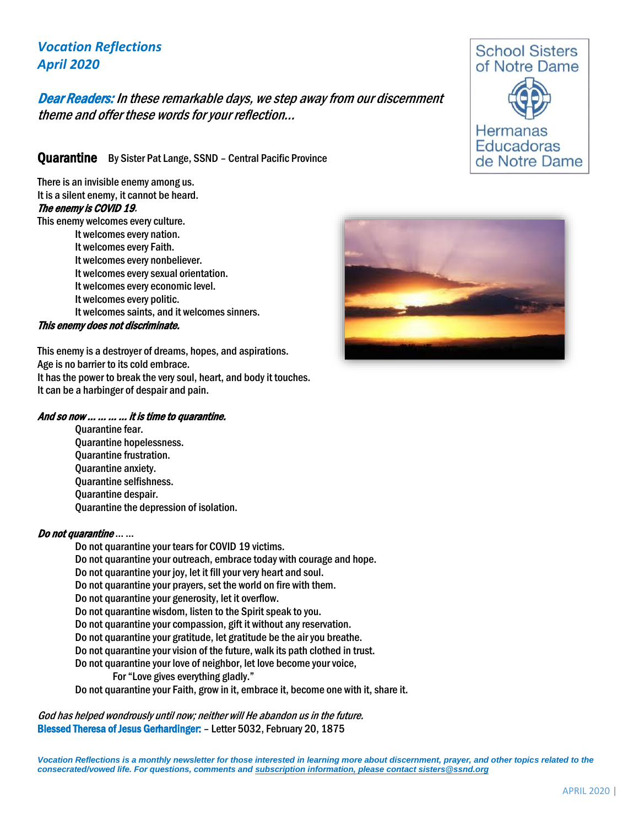# *Vocation Reflections April 2020*

## Dear Readers: In these remarkable days, we step away from our discernment theme and offer these words for your reflection…

Quarantine By Sister Pat Lange, SSND - Central Pacific Province

There is an invisible enemy among us. It is a silent enemy, it cannot be heard. The enemy is COVID 19.

This enemy welcomes every culture.

It welcomes every nation. It welcomes every Faith. It welcomes every nonbeliever. It welcomes every sexual orientation. It welcomes every economic level. It welcomes every politic. It welcomes saints, and it welcomes sinners.

#### This enemy does not discriminate.

This enemy is a destroyer of dreams, hopes, and aspirations. Age is no barrier to its cold embrace. It has the power to break the very soul, heart, and body it touches. It can be a harbinger of despair and pain.

#### And so now … … … … it is time to quarantine.

Quarantine fear. Quarantine hopelessness. Quarantine frustration. Quarantine anxiety. Quarantine selfishness. Quarantine despair. Quarantine the depression of isolation.

#### Do not quarantine … …

Do not quarantine your tears for COVID 19 victims. Do not quarantine your outreach, embrace today with courage and hope. Do not quarantine your joy, let it fill your very heart and soul. Do not quarantine your prayers, set the world on fire with them. Do not quarantine your generosity, let it overflow. Do not quarantine wisdom, listen to the Spirit speak to you. Do not quarantine your compassion, gift it without any reservation. Do not quarantine your gratitude, let gratitude be the air you breathe. Do not quarantine your vision of the future, walk its path clothed in trust. Do not quarantine your love of neighbor, let love become your voice, For "Love gives everything gladly." Do not quarantine your Faith, grow in it, embrace it, become one with it, share it.

God has helped wondrously until now; neither will He abandon us in the future. Blessed Theresa of Jesus Gerhardinger: – Letter 5032, February 20, 1875